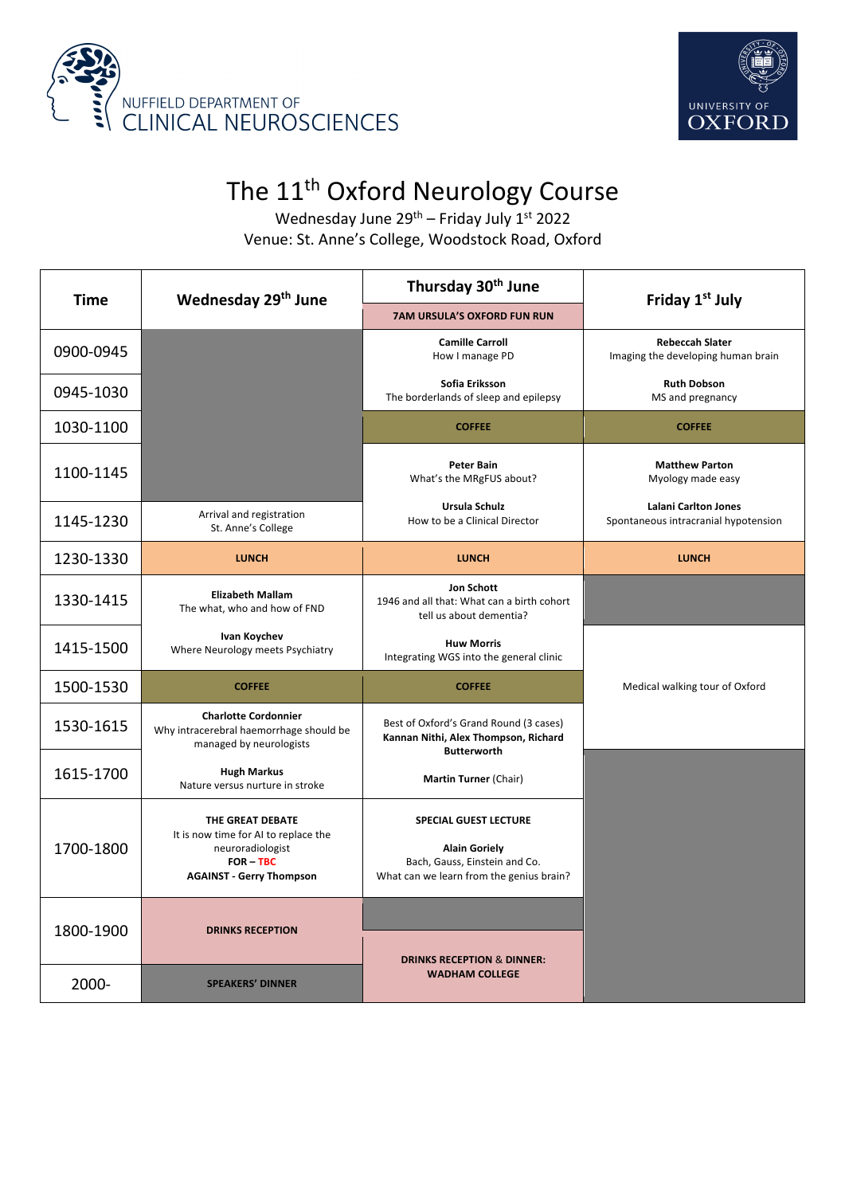



## The 11<sup>th</sup> Oxford Neurology Course

Wednesday June  $29^{th}$  – Friday July  $1^{st}$  2022 Venue: St. Anne's College, Woodstock Road, Oxford

| <b>Time</b> | Wednesday 29 <sup>th</sup> June                                                                                              | Thursday 30 <sup>th</sup> June                                                                                                    | Friday 1st July                                                     |
|-------------|------------------------------------------------------------------------------------------------------------------------------|-----------------------------------------------------------------------------------------------------------------------------------|---------------------------------------------------------------------|
|             |                                                                                                                              | <b>7AM URSULA'S OXFORD FUN RUN</b>                                                                                                |                                                                     |
| 0900-0945   |                                                                                                                              | <b>Camille Carroll</b><br>How I manage PD                                                                                         | <b>Rebeccah Slater</b><br>Imaging the developing human brain        |
| 0945-1030   |                                                                                                                              | Sofia Eriksson<br>The borderlands of sleep and epilepsy                                                                           | <b>Ruth Dobson</b><br>MS and pregnancy                              |
| 1030-1100   |                                                                                                                              | <b>COFFEE</b>                                                                                                                     | <b>COFFEE</b>                                                       |
| 1100-1145   |                                                                                                                              | <b>Peter Bain</b><br>What's the MRgFUS about?                                                                                     | <b>Matthew Parton</b><br>Myology made easy                          |
| 1145-1230   | Arrival and registration<br>St. Anne's College                                                                               | Ursula Schulz<br>How to be a Clinical Director                                                                                    | <b>Lalani Carlton Jones</b><br>Spontaneous intracranial hypotension |
| 1230-1330   | <b>LUNCH</b>                                                                                                                 | <b>LUNCH</b>                                                                                                                      | <b>LUNCH</b>                                                        |
| 1330-1415   | <b>Elizabeth Mallam</b><br>The what, who and how of FND                                                                      | Jon Schott<br>1946 and all that: What can a birth cohort<br>tell us about dementia?                                               |                                                                     |
| 1415-1500   | Ivan Koychev<br>Where Neurology meets Psychiatry                                                                             | <b>Huw Morris</b><br>Integrating WGS into the general clinic                                                                      |                                                                     |
| 1500-1530   | <b>COFFEE</b>                                                                                                                | <b>COFFEE</b>                                                                                                                     | Medical walking tour of Oxford                                      |
| 1530-1615   | <b>Charlotte Cordonnier</b><br>Why intracerebral haemorrhage should be<br>managed by neurologists                            | Best of Oxford's Grand Round (3 cases)<br>Kannan Nithi, Alex Thompson, Richard<br><b>Butterworth</b>                              |                                                                     |
| 1615-1700   | <b>Hugh Markus</b><br>Nature versus nurture in stroke                                                                        | Martin Turner (Chair)                                                                                                             |                                                                     |
| 1700-1800   | THE GREAT DEBATE<br>It is now time for AI to replace the<br>neuroradiologist<br>FOR - TBC<br><b>AGAINST - Gerry Thompson</b> | <b>SPECIAL GUEST LECTURE</b><br><b>Alain Goriely</b><br>Bach, Gauss, Einstein and Co.<br>What can we learn from the genius brain? |                                                                     |
| 1800-1900   | <b>DRINKS RECEPTION</b>                                                                                                      | <b>DRINKS RECEPTION &amp; DINNER:</b>                                                                                             |                                                                     |
| 2000-       | <b>SPEAKERS' DINNER</b>                                                                                                      | <b>WADHAM COLLEGE</b>                                                                                                             |                                                                     |